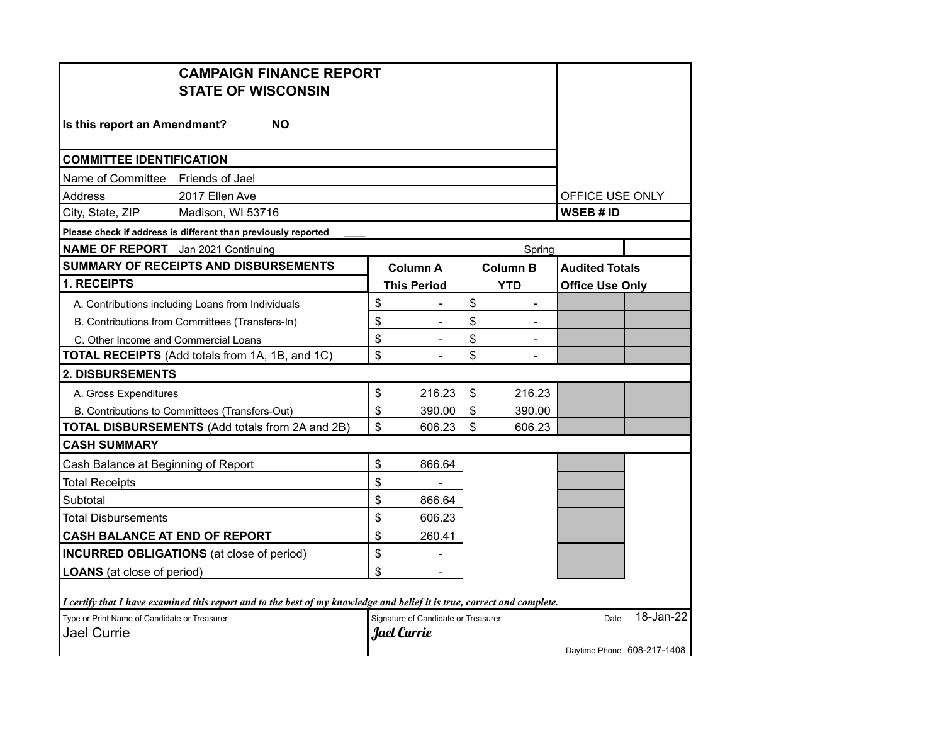| <b>CAMPAIGN FINANCE REPORT</b><br><b>STATE OF WISCONSIN</b>                                                             |                                     |            |                          |                        |                            |  |
|-------------------------------------------------------------------------------------------------------------------------|-------------------------------------|------------|--------------------------|------------------------|----------------------------|--|
| Is this report an Amendment?<br><b>NO</b>                                                                               |                                     |            |                          |                        |                            |  |
| <b>COMMITTEE IDENTIFICATION</b>                                                                                         |                                     |            |                          |                        |                            |  |
| Name of Committee Friends of Jael                                                                                       |                                     |            |                          |                        |                            |  |
| Address<br>2017 Ellen Ave                                                                                               |                                     |            |                          | OFFICE USE ONLY        |                            |  |
| City, State, ZIP<br>Madison, WI 53716                                                                                   |                                     |            |                          | WSEB # ID              |                            |  |
| Please check if address is different than previously reported                                                           |                                     |            |                          |                        |                            |  |
| <b>NAME OF REPORT</b> Jan 2021 Continuing                                                                               |                                     |            | Spring                   |                        |                            |  |
| <b>SUMMARY OF RECEIPTS AND DISBURSEMENTS</b>                                                                            | <b>Column A</b>                     |            | <b>Column B</b>          | <b>Audited Totals</b>  |                            |  |
| 1. RECEIPTS                                                                                                             | <b>This Period</b>                  | <b>YTD</b> |                          | <b>Office Use Only</b> |                            |  |
| A. Contributions including Loans from Individuals                                                                       | \$<br>$\blacksquare$                | \$         | $\overline{\phantom{0}}$ |                        |                            |  |
| B. Contributions from Committees (Transfers-In)                                                                         | \$                                  | \$         |                          |                        |                            |  |
| C. Other Income and Commercial Loans                                                                                    | \$<br>$\blacksquare$                | \$         | $\overline{\phantom{a}}$ |                        |                            |  |
| <b>TOTAL RECEIPTS</b> (Add totals from 1A, 1B, and 1C)                                                                  | \$                                  | \$         |                          |                        |                            |  |
| <b>2. DISBURSEMENTS</b>                                                                                                 |                                     |            |                          |                        |                            |  |
| A. Gross Expenditures                                                                                                   | \$<br>216.23                        | \$         | 216.23                   |                        |                            |  |
| B. Contributions to Committees (Transfers-Out)                                                                          | \$<br>390.00                        | \$         | 390.00                   |                        |                            |  |
| <b>TOTAL DISBURSEMENTS (Add totals from 2A and 2B)</b>                                                                  | \$<br>606.23                        | \$         | 606.23                   |                        |                            |  |
| <b>CASH SUMMARY</b>                                                                                                     |                                     |            |                          |                        |                            |  |
| Cash Balance at Beginning of Report                                                                                     | \$<br>866.64                        |            |                          |                        |                            |  |
| <b>Total Receipts</b>                                                                                                   | \$                                  |            |                          |                        |                            |  |
| Subtotal                                                                                                                | \$<br>866.64                        |            |                          |                        |                            |  |
| Total Disbursements                                                                                                     | \$<br>606.23                        |            |                          |                        |                            |  |
| <b>CASH BALANCE AT END OF REPORT</b>                                                                                    | \$<br>260.41                        |            |                          |                        |                            |  |
| <b>INCURRED OBLIGATIONS</b> (at close of period)                                                                        | \$<br>$\blacksquare$                |            |                          |                        |                            |  |
| <b>LOANS</b> (at close of period)                                                                                       | \$                                  |            |                          |                        |                            |  |
|                                                                                                                         |                                     |            |                          |                        |                            |  |
| I certify that I have examined this report and to the best of my knowledge and belief it is true, correct and complete. |                                     |            |                          |                        |                            |  |
| Type or Print Name of Candidate or Treasurer                                                                            | Signature of Candidate or Treasurer |            |                          | Date                   | 18-Jan-22                  |  |
| <b>Jael Currie</b>                                                                                                      | Jael Currie                         |            |                          |                        |                            |  |
|                                                                                                                         |                                     |            |                          |                        | Daytime Phone 608-217-1408 |  |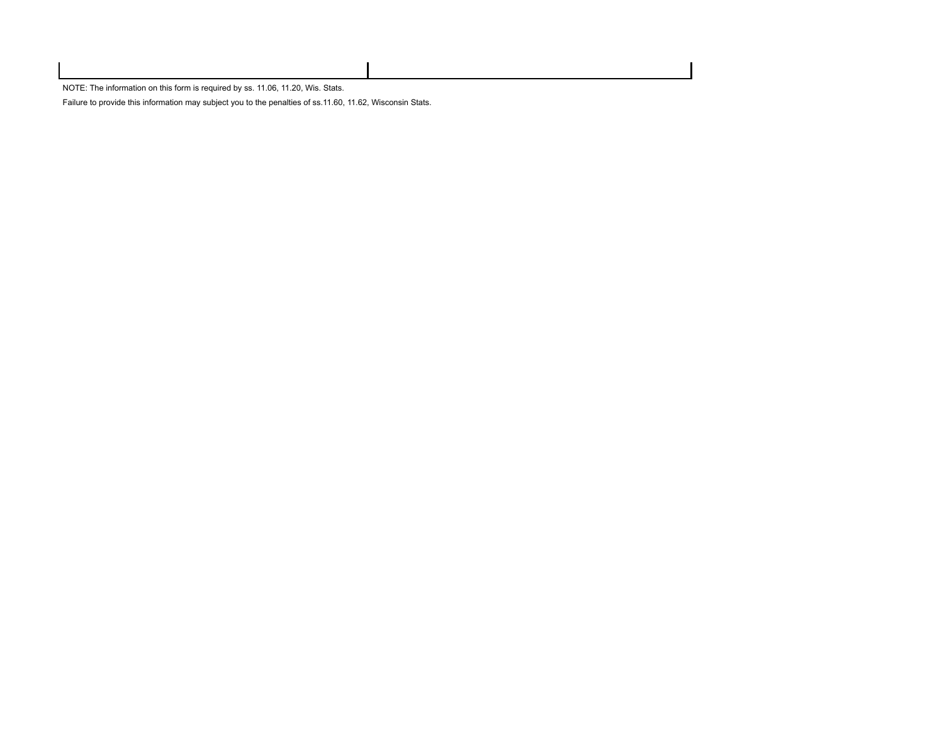NOTE: The information on this form is required by ss. 11.06, 11.20, Wis. Stats.

Failure to provide this information may subject you to the penalties of ss.11.60, 11.62, Wisconsin Stats.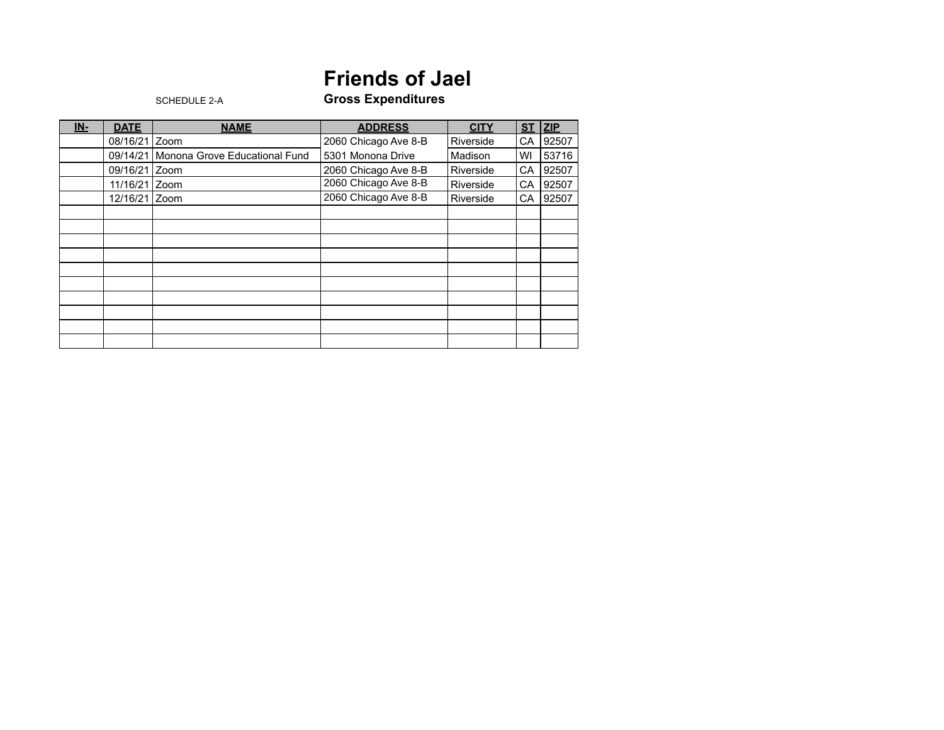## **Friends of Jael**

## SCHEDULE 2-A **Gross Expenditures**

| <u>IN-</u> | <b>DATE</b>   | <b>NAME</b>                   | <b>ADDRESS</b>       | <b>CITY</b> | ST        | ZIP   |
|------------|---------------|-------------------------------|----------------------|-------------|-----------|-------|
|            | 08/16/21 Zoom |                               | 2060 Chicago Ave 8-B | Riverside   | CA        | 92507 |
|            | 09/14/21      | Monona Grove Educational Fund | 5301 Monona Drive    | Madison     | WI        | 53716 |
|            | 09/16/21 Zoom |                               | 2060 Chicago Ave 8-B | Riverside   | <b>CA</b> | 92507 |
|            | 11/16/21 Zoom |                               | 2060 Chicago Ave 8-B | Riverside   | СA        | 92507 |
|            | 12/16/21 Zoom |                               | 2060 Chicago Ave 8-B | Riverside   | CA        | 92507 |
|            |               |                               |                      |             |           |       |
|            |               |                               |                      |             |           |       |
|            |               |                               |                      |             |           |       |
|            |               |                               |                      |             |           |       |
|            |               |                               |                      |             |           |       |
|            |               |                               |                      |             |           |       |
|            |               |                               |                      |             |           |       |
|            |               |                               |                      |             |           |       |
|            |               |                               |                      |             |           |       |
|            |               |                               |                      |             |           |       |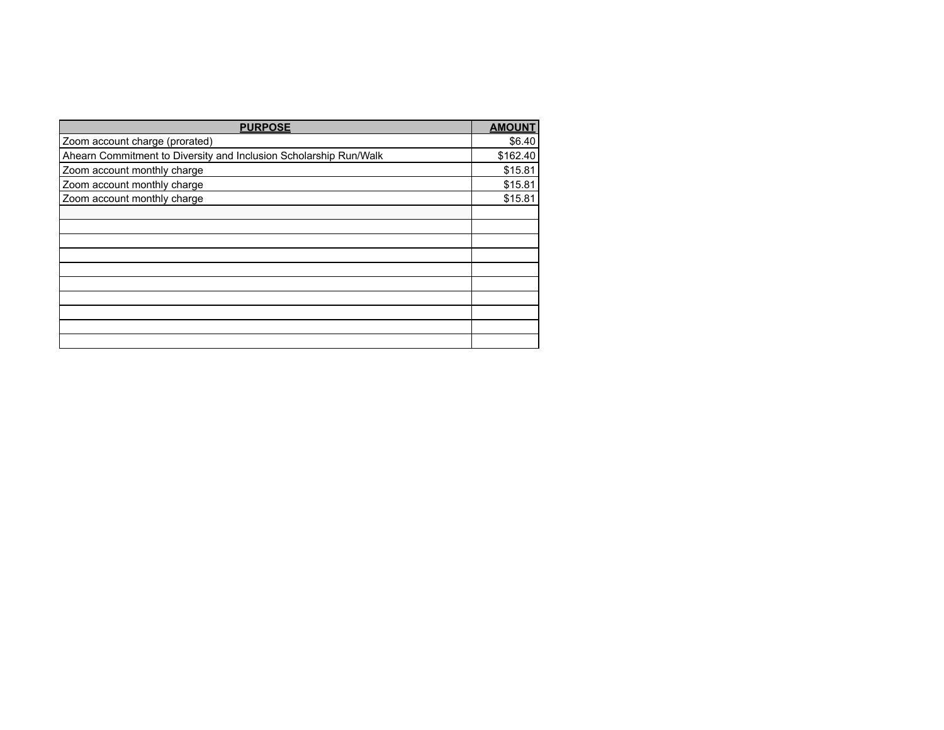| <b>PURPOSE</b>                                                    | <b>AMOUNT</b> |
|-------------------------------------------------------------------|---------------|
| Zoom account charge (prorated)                                    | \$6.40        |
| Ahearn Commitment to Diversity and Inclusion Scholarship Run/Walk | \$162.40      |
| Zoom account monthly charge                                       | \$15.81       |
| Zoom account monthly charge                                       | \$15.81       |
| Zoom account monthly charge                                       | \$15.81       |
|                                                                   |               |
|                                                                   |               |
|                                                                   |               |
|                                                                   |               |
|                                                                   |               |
|                                                                   |               |
|                                                                   |               |
|                                                                   |               |
|                                                                   |               |
|                                                                   |               |